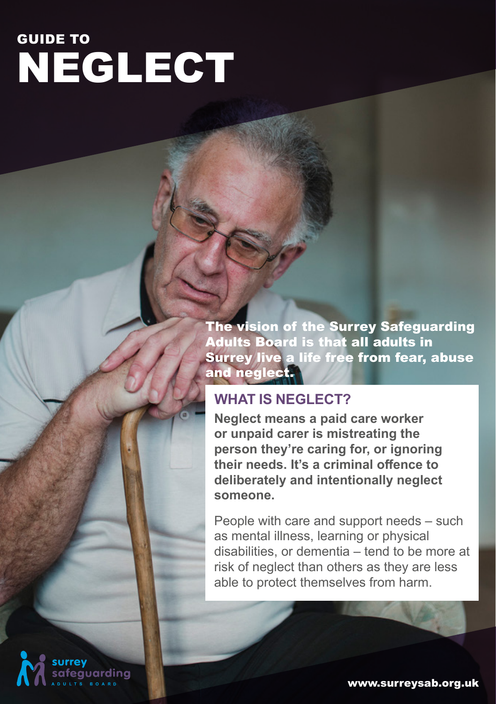# NEGLECT GUIDE TO

The vision of the Surrey Safeguarding Adults Board is that all adults in Surrey live a life free from fear, abuse and neglect.

#### **WHAT IS NEGLECT?**

**Neglect means a paid care worker or unpaid carer is mistreating the person they're caring for, or ignoring their needs. It's a criminal offence to deliberately and intentionally neglect someone.**

People with care and support needs – such as mental illness, learning or physical disabilities, or dementia – tend to be more at risk of neglect than others as they are less able to protect themselves from harm.

iuardina

www.surreysab.org.uk